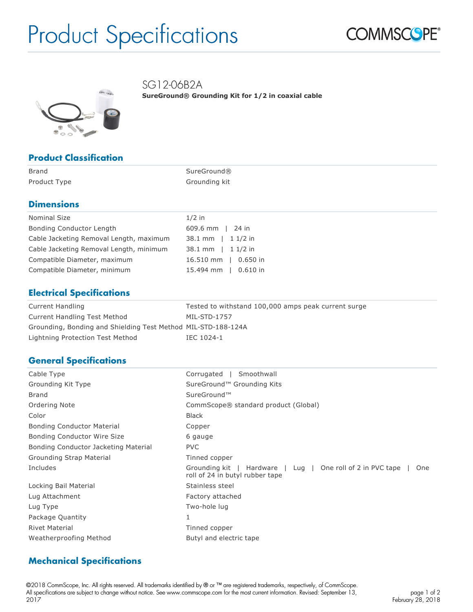# Product Specifications



SG12-06B2A

**SureGround® Grounding Kit for 1/2 in coaxial cable**



### **Product Classification**

| Brand        | SureGround®   |
|--------------|---------------|
| Product Type | Grounding kit |

### **Dimensions**

| Nominal Size                            | $1/2$ in             |
|-----------------------------------------|----------------------|
| Bonding Conductor Length                | $609.6$ mm   24 in   |
| Cable Jacketing Removal Length, maximum | 38.1 mm   1 1/2 in   |
| Cable Jacketing Removal Length, minimum | 38.1 mm   1 1/2 in   |
| Compatible Diameter, maximum            | 16.510 mm   0.650 in |
| Compatible Diameter, minimum            | 15.494 mm   0.610 in |

### **Electrical Specifications**

| Current Handling                                              | Tested to withstand 100,000 amps peak current surge |
|---------------------------------------------------------------|-----------------------------------------------------|
| Current Handling Test Method                                  | MIL-STD-1757                                        |
| Grounding, Bonding and Shielding Test Method MIL-STD-188-124A |                                                     |
| Lightning Protection Test Method                              | IEC 1024-1                                          |

### **General Specifications**

| Cable Type                           | Smoothwall<br>Corrugated                                                                                |
|--------------------------------------|---------------------------------------------------------------------------------------------------------|
| Grounding Kit Type                   | SureGround™ Grounding Kits                                                                              |
| <b>Brand</b>                         | SureGround™                                                                                             |
| Ordering Note                        | CommScope® standard product (Global)                                                                    |
| Color                                | <b>Black</b>                                                                                            |
| <b>Bonding Conductor Material</b>    | Copper                                                                                                  |
| Bonding Conductor Wire Size          | 6 gauge                                                                                                 |
| Bonding Conductor Jacketing Material | <b>PVC</b>                                                                                              |
| Grounding Strap Material             | Tinned copper                                                                                           |
| Includes                             | Hardware   Lug   One roll of 2 in PVC tape<br>Grounding kit  <br>One<br>roll of 24 in butyl rubber tape |
| Locking Bail Material                | Stainless steel                                                                                         |
| Lug Attachment                       | Factory attached                                                                                        |
| Lug Type                             | Two-hole lug                                                                                            |
| Package Quantity                     |                                                                                                         |
| <b>Rivet Material</b>                | Tinned copper                                                                                           |
| Weatherproofing Method               | Butyl and electric tape                                                                                 |

### **Mechanical Specifications**

©2018 CommScope, Inc. All rights reserved. All trademarks identified by ® or ™ are registered trademarks, respectively, of CommScope. All specifications are subject to change without notice. See www.commscope.com for the most current information. Revised: September 13, 2017